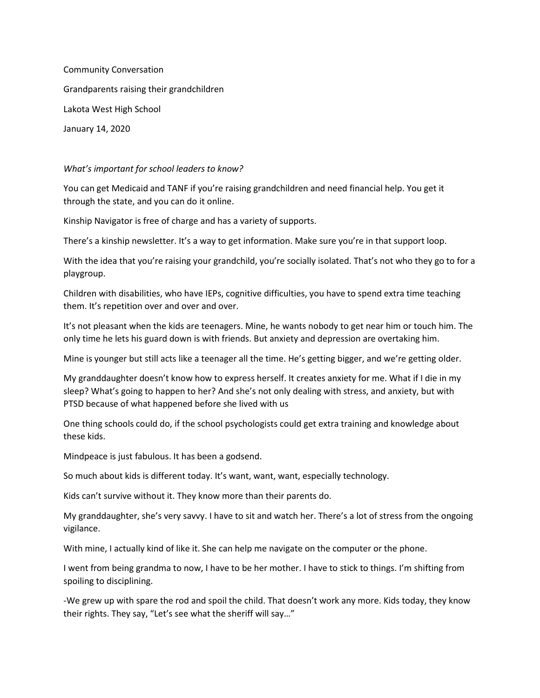Community Conversation Grandparents raising their grandchildren Lakota West High School January 14, 2020

## *What's important for school leaders to know?*

You can get Medicaid and TANF if you're raising grandchildren and need financial help. You get it through the state, and you can do it online.

Kinship Navigator is free of charge and has a variety of supports.

There's a kinship newsletter. It's a way to get information. Make sure you're in that support loop.

With the idea that you're raising your grandchild, you're socially isolated. That's not who they go to for a playgroup.

Children with disabilities, who have IEPs, cognitive difficulties, you have to spend extra time teaching them. It's repetition over and over and over.

It's not pleasant when the kids are teenagers. Mine, he wants nobody to get near him or touch him. The only time he lets his guard down is with friends. But anxiety and depression are overtaking him.

Mine is younger but still acts like a teenager all the time. He's getting bigger, and we're getting older.

My granddaughter doesn't know how to express herself. It creates anxiety for me. What if I die in my sleep? What's going to happen to her? And she's not only dealing with stress, and anxiety, but with PTSD because of what happened before she lived with us

One thing schools could do, if the school psychologists could get extra training and knowledge about these kids.

Mindpeace is just fabulous. It has been a godsend.

So much about kids is different today. It's want, want, want, especially technology.

Kids can't survive without it. They know more than their parents do.

My granddaughter, she's very savvy. I have to sit and watch her. There's a lot of stress from the ongoing vigilance.

With mine, I actually kind of like it. She can help me navigate on the computer or the phone.

I went from being grandma to now, I have to be her mother. I have to stick to things. I'm shifting from spoiling to disciplining.

-We grew up with spare the rod and spoil the child. That doesn't work any more. Kids today, they know their rights. They say, "Let's see what the sheriff will say…"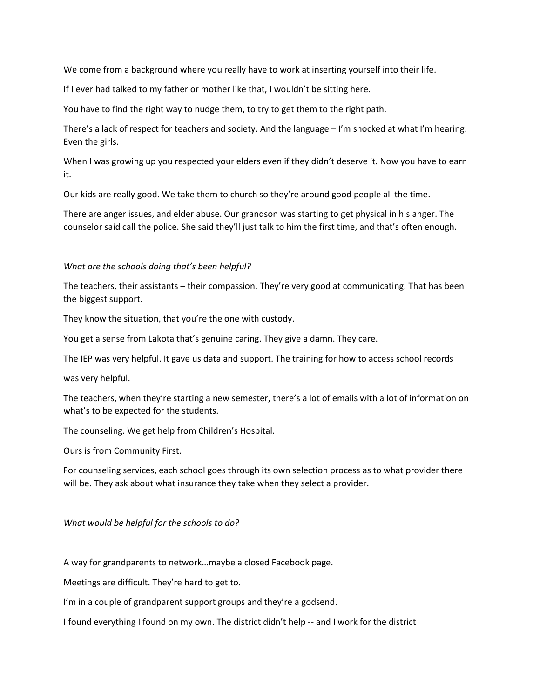We come from a background where you really have to work at inserting yourself into their life.

If I ever had talked to my father or mother like that, I wouldn't be sitting here.

You have to find the right way to nudge them, to try to get them to the right path.

There's a lack of respect for teachers and society. And the language – I'm shocked at what I'm hearing. Even the girls.

When I was growing up you respected your elders even if they didn't deserve it. Now you have to earn it.

Our kids are really good. We take them to church so they're around good people all the time.

There are anger issues, and elder abuse. Our grandson was starting to get physical in his anger. The counselor said call the police. She said they'll just talk to him the first time, and that's often enough.

## *What are the schools doing that's been helpful?*

The teachers, their assistants – their compassion. They're very good at communicating. That has been the biggest support.

They know the situation, that you're the one with custody.

You get a sense from Lakota that's genuine caring. They give a damn. They care.

The IEP was very helpful. It gave us data and support. The training for how to access school records

was very helpful.

The teachers, when they're starting a new semester, there's a lot of emails with a lot of information on what's to be expected for the students.

The counseling. We get help from Children's Hospital.

Ours is from Community First.

For counseling services, each school goes through its own selection process as to what provider there will be. They ask about what insurance they take when they select a provider.

## *What would be helpful for the schools to do?*

A way for grandparents to network…maybe a closed Facebook page.

Meetings are difficult. They're hard to get to.

I'm in a couple of grandparent support groups and they're a godsend.

I found everything I found on my own. The district didn't help -- and I work for the district